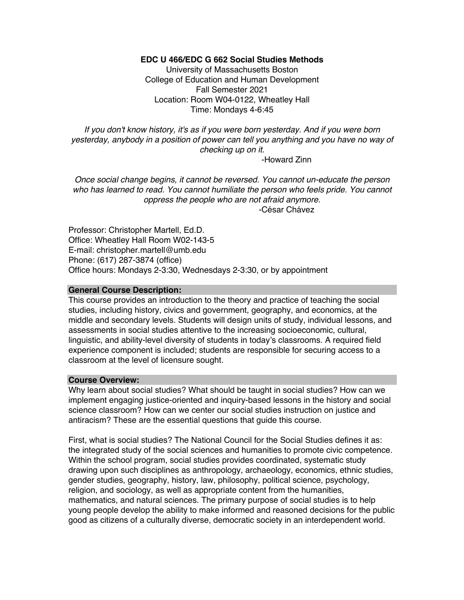# **EDC U 466/EDC G 662 Social Studies Methods**

University of Massachusetts Boston College of Education and Human Development Fall Semester 2021 Location: Room W04-0122, Wheatley Hall Time: Mondays 4-6:45

*If you don't know history, it's as if you were born yesterday. And if you were born yesterday, anybody in a position of power can tell you anything and you have no way of checking up on it.*

-Howard Zinn

*Once social change begins, it cannot be reversed. You cannot un-educate the person who has learned to read. You cannot humiliate the person who feels pride. You cannot oppress the people who are not afraid anymore.* -César Chávez

Professor: Christopher Martell, Ed.D. Office: Wheatley Hall Room W02-143-5 E-mail: christopher.martell@umb.edu Phone: (617) 287-3874 (office) Office hours: Mondays 2-3:30, Wednesdays 2-3:30, or by appointment

# **General Course Description:**

This course provides an introduction to the theory and practice of teaching the social studies, including history, civics and government, geography, and economics, at the middle and secondary levels. Students will design units of study, individual lessons, and assessments in social studies attentive to the increasing socioeconomic, cultural, linguistic, and ability-level diversity of students in today's classrooms. A required field experience component is included; students are responsible for securing access to a classroom at the level of licensure sought.

# **Course Overview:**

Why learn about social studies? What should be taught in social studies? How can we implement engaging justice-oriented and inquiry-based lessons in the history and social science classroom? How can we center our social studies instruction on justice and antiracism? These are the essential questions that guide this course.

First, what is social studies? The National Council for the Social Studies defines it as: the integrated study of the social sciences and humanities to promote civic competence. Within the school program, social studies provides coordinated, systematic study drawing upon such disciplines as anthropology, archaeology, economics, ethnic studies, gender studies, geography, history, law, philosophy, political science, psychology, religion, and sociology, as well as appropriate content from the humanities, mathematics, and natural sciences. The primary purpose of social studies is to help young people develop the ability to make informed and reasoned decisions for the public good as citizens of a culturally diverse, democratic society in an interdependent world.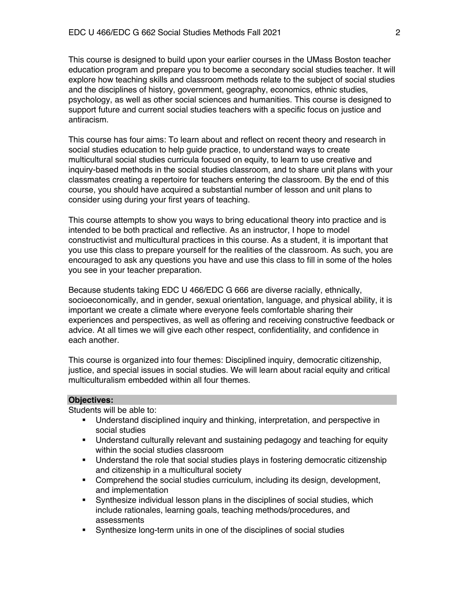This course is designed to build upon your earlier courses in the UMass Boston teacher education program and prepare you to become a secondary social studies teacher. It will explore how teaching skills and classroom methods relate to the subject of social studies and the disciplines of history, government, geography, economics, ethnic studies, psychology, as well as other social sciences and humanities. This course is designed to support future and current social studies teachers with a specific focus on justice and antiracism.

This course has four aims: To learn about and reflect on recent theory and research in social studies education to help guide practice, to understand ways to create multicultural social studies curricula focused on equity, to learn to use creative and inquiry-based methods in the social studies classroom, and to share unit plans with your classmates creating a repertoire for teachers entering the classroom. By the end of this course, you should have acquired a substantial number of lesson and unit plans to consider using during your first years of teaching.

This course attempts to show you ways to bring educational theory into practice and is intended to be both practical and reflective. As an instructor, I hope to model constructivist and multicultural practices in this course. As a student, it is important that you use this class to prepare yourself for the realities of the classroom. As such, you are encouraged to ask any questions you have and use this class to fill in some of the holes you see in your teacher preparation.

Because students taking EDC U 466/EDC G 666 are diverse racially, ethnically, socioeconomically, and in gender, sexual orientation, language, and physical ability, it is important we create a climate where everyone feels comfortable sharing their experiences and perspectives, as well as offering and receiving constructive feedback or advice. At all times we will give each other respect, confidentiality, and confidence in each another.

This course is organized into four themes: Disciplined inquiry, democratic citizenship, justice, and special issues in social studies. We will learn about racial equity and critical multiculturalism embedded within all four themes.

# **Objectives:**

Students will be able to:

- § Understand disciplined inquiry and thinking, interpretation, and perspective in social studies
- Understand culturally relevant and sustaining pedagogy and teaching for equity within the social studies classroom
- Understand the role that social studies plays in fostering democratic citizenship and citizenship in a multicultural society
- § Comprehend the social studies curriculum, including its design, development, and implementation
- Synthesize individual lesson plans in the disciplines of social studies, which include rationales, learning goals, teaching methods/procedures, and assessments
- § Synthesize long-term units in one of the disciplines of social studies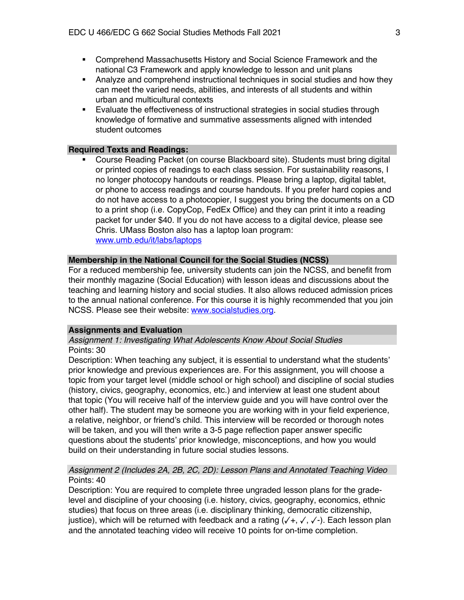- § Comprehend Massachusetts History and Social Science Framework and the national C3 Framework and apply knowledge to lesson and unit plans
- Analyze and comprehend instructional techniques in social studies and how they can meet the varied needs, abilities, and interests of all students and within urban and multicultural contexts
- **Evaluate the effectiveness of instructional strategies in social studies through** knowledge of formative and summative assessments aligned with intended student outcomes

# **Required Texts and Readings:**

§ Course Reading Packet (on course Blackboard site). Students must bring digital or printed copies of readings to each class session. For sustainability reasons, I no longer photocopy handouts or readings. Please bring a laptop, digital tablet, or phone to access readings and course handouts. If you prefer hard copies and do not have access to a photocopier, I suggest you bring the documents on a CD to a print shop (i.e. CopyCop, FedEx Office) and they can print it into a reading packet for under \$40. If you do not have access to a digital device, please see Chris. UMass Boston also has a laptop loan program: www.umb.edu/it/labs/laptops

# **Membership in the National Council for the Social Studies (NCSS)**

For a reduced membership fee, university students can join the NCSS, and benefit from their monthly magazine (Social Education) with lesson ideas and discussions about the teaching and learning history and social studies. It also allows reduced admission prices to the annual national conference. For this course it is highly recommended that you join NCSS. Please see their website: www.socialstudies.org.

# **Assignments and Evaluation**

# *Assignment 1: Investigating What Adolescents Know About Social Studies* Points: 30

Description: When teaching any subject, it is essential to understand what the students' prior knowledge and previous experiences are. For this assignment, you will choose a topic from your target level (middle school or high school) and discipline of social studies (history, civics, geography, economics, etc.) and interview at least one student about that topic (You will receive half of the interview guide and you will have control over the other half). The student may be someone you are working with in your field experience, a relative, neighbor, or friend's child. This interview will be recorded or thorough notes will be taken, and you will then write a 3-5 page reflection paper answer specific questions about the students' prior knowledge, misconceptions, and how you would build on their understanding in future social studies lessons.

# *Assignment 2 (Includes 2A, 2B, 2C, 2D): Lesson Plans and Annotated Teaching Video* Points: 40

Description: You are required to complete three ungraded lesson plans for the gradelevel and discipline of your choosing (i.e. history, civics, geography, economics, ethnic studies) that focus on three areas (i.e. disciplinary thinking, democratic citizenship, justice), which will be returned with feedback and a rating  $(\sqrt{+}, \sqrt{}, \sqrt{-})$ . Each lesson plan and the annotated teaching video will receive 10 points for on-time completion.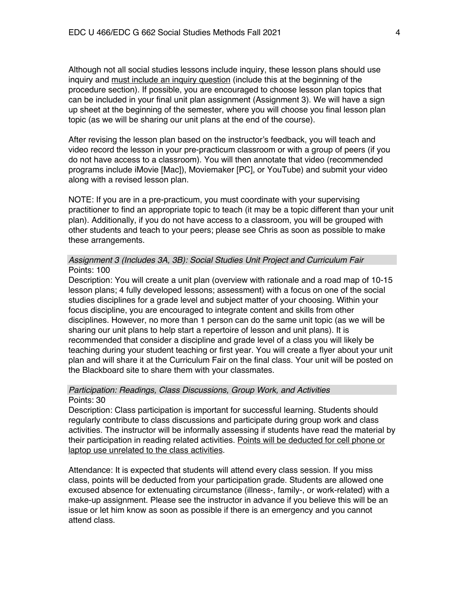Although not all social studies lessons include inquiry, these lesson plans should use inquiry and must include an inquiry question (include this at the beginning of the procedure section). If possible, you are encouraged to choose lesson plan topics that can be included in your final unit plan assignment (Assignment 3). We will have a sign up sheet at the beginning of the semester, where you will choose you final lesson plan topic (as we will be sharing our unit plans at the end of the course).

After revising the lesson plan based on the instructor's feedback, you will teach and video record the lesson in your pre-practicum classroom or with a group of peers (if you do not have access to a classroom). You will then annotate that video (recommended programs include iMovie [Mac]), Moviemaker [PC], or YouTube) and submit your video along with a revised lesson plan.

NOTE: If you are in a pre-practicum, you must coordinate with your supervising practitioner to find an appropriate topic to teach (it may be a topic different than your unit plan). Additionally, if you do not have access to a classroom, you will be grouped with other students and teach to your peers; please see Chris as soon as possible to make these arrangements.

# *Assignment 3 (Includes 3A, 3B): Social Studies Unit Project and Curriculum Fair* Points: 100

Description: You will create a unit plan (overview with rationale and a road map of 10-15 lesson plans; 4 fully developed lessons; assessment) with a focus on one of the social studies disciplines for a grade level and subject matter of your choosing. Within your focus discipline, you are encouraged to integrate content and skills from other disciplines. However, no more than 1 person can do the same unit topic (as we will be sharing our unit plans to help start a repertoire of lesson and unit plans). It is recommended that consider a discipline and grade level of a class you will likely be teaching during your student teaching or first year. You will create a flyer about your unit plan and will share it at the Curriculum Fair on the final class. Your unit will be posted on the Blackboard site to share them with your classmates.

# *Participation: Readings, Class Discussions, Group Work, and Activities* Points: 30

Description: Class participation is important for successful learning. Students should regularly contribute to class discussions and participate during group work and class activities. The instructor will be informally assessing if students have read the material by their participation in reading related activities. Points will be deducted for cell phone or laptop use unrelated to the class activities.

Attendance: It is expected that students will attend every class session. If you miss class, points will be deducted from your participation grade. Students are allowed one excused absence for extenuating circumstance (illness-, family-, or work-related) with a make-up assignment. Please see the instructor in advance if you believe this will be an issue or let him know as soon as possible if there is an emergency and you cannot attend class.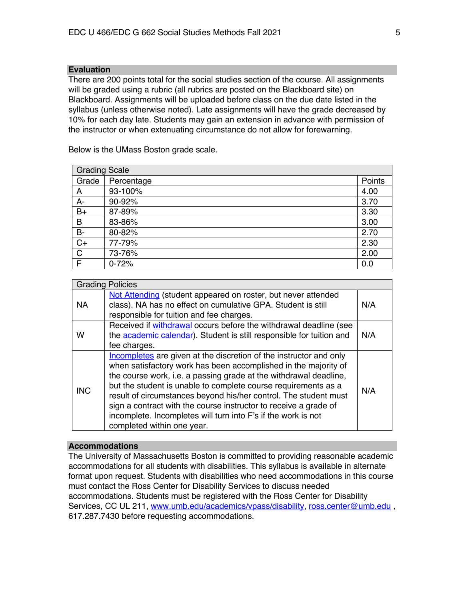# **Evaluation**

There are 200 points total for the social studies section of the course. All assignments will be graded using a rubric (all rubrics are posted on the Blackboard site) on Blackboard. Assignments will be uploaded before class on the due date listed in the syllabus (unless otherwise noted). Late assignments will have the grade decreased by 10% for each day late. Students may gain an extension in advance with permission of the instructor or when extenuating circumstance do not allow for forewarning.

Below is the UMass Boston grade scale.

| <b>Grading Scale</b> |            |        |  |
|----------------------|------------|--------|--|
| Grade                | Percentage | Points |  |
| A                    | 93-100%    | 4.00   |  |
| A-                   | 90-92%     | 3.70   |  |
| $B+$                 | 87-89%     | 3.30   |  |
| B                    | 83-86%     | 3.00   |  |
| <b>B-</b>            | 80-82%     | 2.70   |  |
| $C+$                 | 77-79%     | 2.30   |  |
| $\overline{C}$       | 73-76%     | 2.00   |  |
| F                    | $0 - 72%$  | 0.0    |  |

| <b>Grading Policies</b> |                                                                                                                                                                                                                                                                                                                                                                                                                                                                                                                     |     |  |
|-------------------------|---------------------------------------------------------------------------------------------------------------------------------------------------------------------------------------------------------------------------------------------------------------------------------------------------------------------------------------------------------------------------------------------------------------------------------------------------------------------------------------------------------------------|-----|--|
| <b>NA</b>               | Not Attending (student appeared on roster, but never attended<br>class). NA has no effect on cumulative GPA. Student is still<br>responsible for tuition and fee charges.                                                                                                                                                                                                                                                                                                                                           | N/A |  |
| w                       | Received if withdrawal occurs before the withdrawal deadline (see<br>the <b>academic calendar</b> ). Student is still responsible for tuition and<br>fee charges.                                                                                                                                                                                                                                                                                                                                                   | N/A |  |
| <b>INC</b>              | Incompletes are given at the discretion of the instructor and only<br>when satisfactory work has been accomplished in the majority of<br>the course work, i.e. a passing grade at the withdrawal deadline,<br>but the student is unable to complete course requirements as a<br>result of circumstances beyond his/her control. The student must<br>sign a contract with the course instructor to receive a grade of<br>incomplete. Incompletes will turn into F's if the work is not<br>completed within one year. | N/A |  |

# **Accommodations**

The University of Massachusetts Boston is committed to providing reasonable academic accommodations for all students with disabilities. This syllabus is available in alternate format upon request. Students with disabilities who need accommodations in this course must contact the Ross Center for Disability Services to discuss needed accommodations. Students must be registered with the Ross Center for Disability Services, CC UL 211, www.umb.edu/academics/vpass/disability, ross.center@umb.edu. 617.287.7430 before requesting accommodations.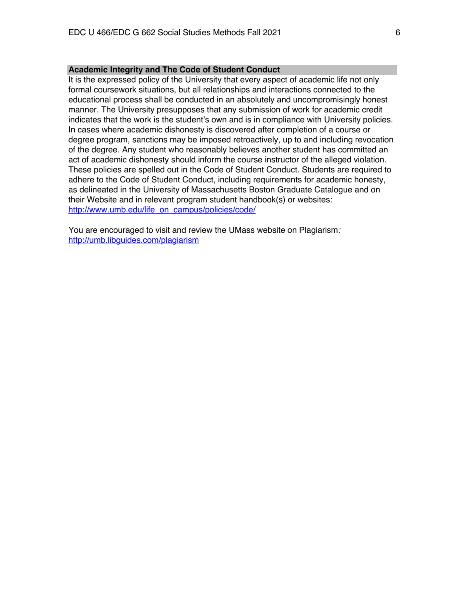## **Academic Integrity and The Code of Student Conduct**

It is the expressed policy of the University that every aspect of academic life not only formal coursework situations, but all relationships and interactions connected to the educational process shall be conducted in an absolutely and uncompromisingly honest manner. The University presupposes that any submission of work for academic credit indicates that the work is the student's own and is in compliance with University policies. In cases where academic dishonesty is discovered after completion of a course or degree program, sanctions may be imposed retroactively, up to and including revocation of the degree. Any student who reasonably believes another student has committed an act of academic dishonesty should inform the course instructor of the alleged violation. These policies are spelled out in the Code of Student Conduct. Students are required to adhere to the Code of Student Conduct, including requirements for academic honesty, as delineated in the University of Massachusetts Boston Graduate Catalogue and on their Website and in relevant program student handbook(s) or websites: http://www.umb.edu/life\_on\_campus/policies/code/

You are encouraged to visit and review the UMass website on Plagiarism*:* http://umb.libguides.com/plagiarism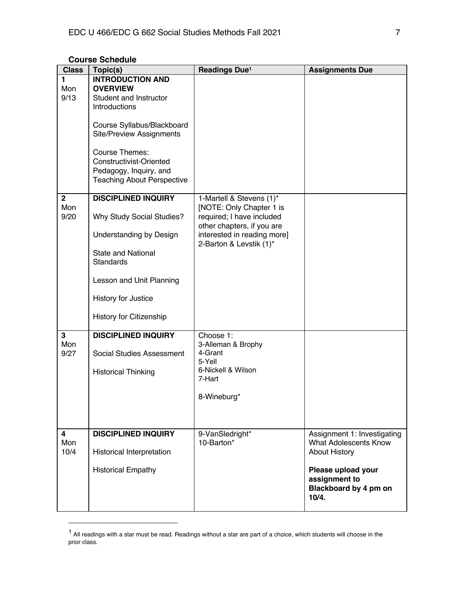# **Course Schedule**

| <b>Class</b>                  | Topic(s)                                                                                                                                                                                                                                                           | Readings Due <sup>1</sup>                                                                                                                                                 | <b>Assignments Due</b>                                                                                                                                       |
|-------------------------------|--------------------------------------------------------------------------------------------------------------------------------------------------------------------------------------------------------------------------------------------------------------------|---------------------------------------------------------------------------------------------------------------------------------------------------------------------------|--------------------------------------------------------------------------------------------------------------------------------------------------------------|
| 1<br>Mon<br>9/13              | <b>INTRODUCTION AND</b><br><b>OVERVIEW</b><br>Student and Instructor<br>Introductions<br>Course Syllabus/Blackboard<br><b>Site/Preview Assignments</b><br>Course Themes:<br>Constructivist-Oriented<br>Pedagogy, Inquiry, and<br><b>Teaching About Perspective</b> |                                                                                                                                                                           |                                                                                                                                                              |
| 2 <sup>1</sup><br>Mon<br>9/20 | <b>DISCIPLINED INQUIRY</b><br>Why Study Social Studies?<br>Understanding by Design<br><b>State and National</b><br><b>Standards</b><br>Lesson and Unit Planning<br>History for Justice<br>History for Citizenship                                                  | 1-Martell & Stevens (1)*<br>[NOTE: Only Chapter 1 is<br>required; I have included<br>other chapters, if you are<br>interested in reading more]<br>2-Barton & Levstik (1)* |                                                                                                                                                              |
| 3<br>Mon<br>9/27              | <b>DISCIPLINED INQUIRY</b><br><b>Social Studies Assessment</b><br><b>Historical Thinking</b>                                                                                                                                                                       | Choose 1:<br>3-Alleman & Brophy<br>4-Grant<br>5-Yell<br>6-Nickell & Wilson<br>7-Hart<br>8-Wineburg*                                                                       |                                                                                                                                                              |
| 4<br>Mon<br>10/4              | <b>DISCIPLINED INQUIRY</b><br>Historical Interpretation<br><b>Historical Empathy</b>                                                                                                                                                                               | 9-VanSledright*<br>10-Barton*                                                                                                                                             | Assignment 1: Investigating<br><b>What Adolescents Know</b><br><b>About History</b><br>Please upload your<br>assignment to<br>Blackboard by 4 pm on<br>10/4. |

 $1$  All readings with a star must be read. Readings without a star are part of a choice, which students will choose in the prior class.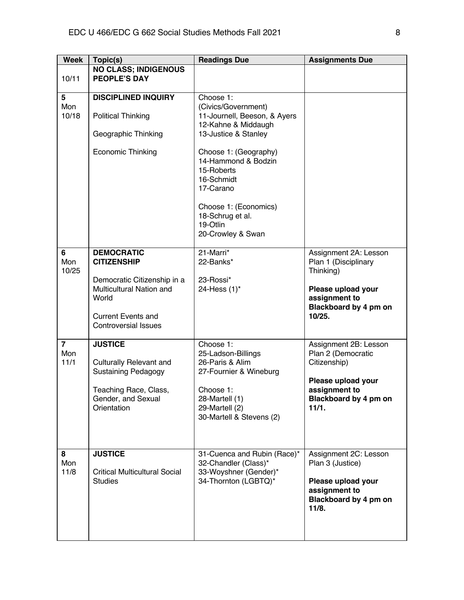| <b>Week</b>                                   | Topic(s)                                                                                                                                                                                                                                                                                           | <b>Readings Due</b>                                                                                                                                                                                                                                                                    | <b>Assignments Due</b>                                                                                                                                                                                                                              |
|-----------------------------------------------|----------------------------------------------------------------------------------------------------------------------------------------------------------------------------------------------------------------------------------------------------------------------------------------------------|----------------------------------------------------------------------------------------------------------------------------------------------------------------------------------------------------------------------------------------------------------------------------------------|-----------------------------------------------------------------------------------------------------------------------------------------------------------------------------------------------------------------------------------------------------|
| 10/11                                         | <b>NO CLASS; INDIGENOUS</b><br><b>PEOPLE'S DAY</b>                                                                                                                                                                                                                                                 |                                                                                                                                                                                                                                                                                        |                                                                                                                                                                                                                                                     |
|                                               |                                                                                                                                                                                                                                                                                                    |                                                                                                                                                                                                                                                                                        |                                                                                                                                                                                                                                                     |
| 5<br>Mon<br>10/18                             | <b>DISCIPLINED INQUIRY</b><br><b>Political Thinking</b><br>Geographic Thinking<br><b>Economic Thinking</b>                                                                                                                                                                                         | Choose 1:<br>(Civics/Government)<br>11-Journell, Beeson, & Ayers<br>12-Kahne & Middaugh<br>13-Justice & Stanley<br>Choose 1: (Geography)<br>14-Hammond & Bodzin<br>15-Roberts<br>16-Schmidt<br>17-Carano<br>Choose 1: (Economics)<br>18-Schrug et al.<br>19-Otlin<br>20-Crowley & Swan |                                                                                                                                                                                                                                                     |
| 6                                             | <b>DEMOCRATIC</b>                                                                                                                                                                                                                                                                                  | 21-Marri*                                                                                                                                                                                                                                                                              | Assignment 2A: Lesson                                                                                                                                                                                                                               |
| Mon<br>10/25<br>$\overline{7}$<br>Mon<br>11/1 | <b>CITIZENSHIP</b><br>Democratic Citizenship in a<br>Multicultural Nation and<br>World<br><b>Current Events and</b><br><b>Controversial Issues</b><br><b>JUSTICE</b><br><b>Culturally Relevant and</b><br><b>Sustaining Pedagogy</b><br>Teaching Race, Class,<br>Gender, and Sexual<br>Orientation | 22-Banks*<br>23-Rossi*<br>24-Hess (1)*<br>Choose 1:<br>25-Ladson-Billings<br>26-Paris & Alim<br>27-Fournier & Wineburg<br>Choose 1:<br>28-Martell (1)<br>29-Martell (2)<br>30-Martell & Stevens (2)                                                                                    | Plan 1 (Disciplinary<br>Thinking)<br>Please upload your<br>assignment to<br>Blackboard by 4 pm on<br>10/25.<br>Assignment 2B: Lesson<br>Plan 2 (Democratic<br>Citizenship)<br>Please upload your<br>assignment to<br>Blackboard by 4 pm on<br>11/1. |
| 8<br>Mon<br>11/8                              | <b>JUSTICE</b><br><b>Critical Multicultural Social</b><br><b>Studies</b>                                                                                                                                                                                                                           | 31-Cuenca and Rubin (Race)*<br>32-Chandler (Class)*<br>33-Woyshner (Gender)*<br>34-Thornton (LGBTQ)*                                                                                                                                                                                   | Assignment 2C: Lesson<br>Plan 3 (Justice)<br>Please upload your<br>assignment to<br>Blackboard by 4 pm on<br>11/8.                                                                                                                                  |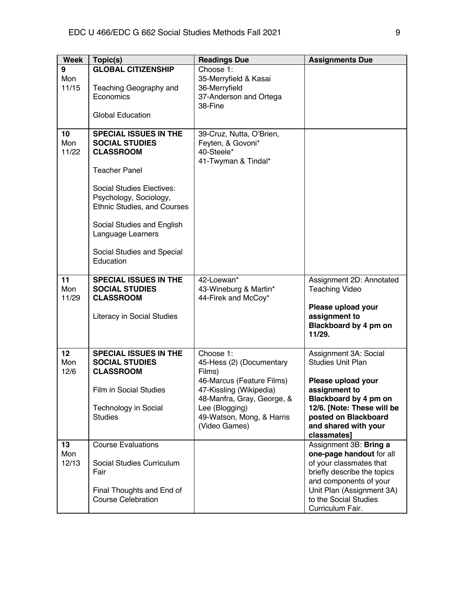| <b>Week</b>        | Topic(s)                                                                                                                                                                                                                                                                              | <b>Readings Due</b>                                                                                                                                                                                   | <b>Assignments Due</b>                                                                                                                                                                                           |
|--------------------|---------------------------------------------------------------------------------------------------------------------------------------------------------------------------------------------------------------------------------------------------------------------------------------|-------------------------------------------------------------------------------------------------------------------------------------------------------------------------------------------------------|------------------------------------------------------------------------------------------------------------------------------------------------------------------------------------------------------------------|
| 9<br>Mon<br>11/15  | <b>GLOBAL CITIZENSHIP</b><br>Teaching Geography and<br>Economics<br><b>Global Education</b>                                                                                                                                                                                           | Choose 1:<br>35-Merryfield & Kasai<br>36-Merryfield<br>37-Anderson and Ortega<br>38-Fine                                                                                                              |                                                                                                                                                                                                                  |
| 10<br>Mon<br>11/22 | <b>SPECIAL ISSUES IN THE</b><br><b>SOCIAL STUDIES</b><br><b>CLASSROOM</b><br><b>Teacher Panel</b><br>Social Studies Electives:<br>Psychology, Sociology,<br>Ethnic Studies, and Courses<br>Social Studies and English<br>Language Learners<br>Social Studies and Special<br>Education | 39-Cruz, Nutta, O'Brien,<br>Feyten, & Govoni*<br>40-Steele*<br>41-Twyman & Tindal*                                                                                                                    |                                                                                                                                                                                                                  |
| 11<br>Mon<br>11/29 | <b>SPECIAL ISSUES IN THE</b><br><b>SOCIAL STUDIES</b><br><b>CLASSROOM</b><br>Literacy in Social Studies                                                                                                                                                                               | 42-Loewan*<br>43-Wineburg & Martin*<br>44-Firek and McCoy*                                                                                                                                            | Assignment 2D: Annotated<br><b>Teaching Video</b><br>Please upload your<br>assignment to<br>Blackboard by 4 pm on<br>11/29.                                                                                      |
| 12<br>Mon<br>12/6  | <b>SPECIAL ISSUES IN THE</b><br><b>SOCIAL STUDIES</b><br><b>CLASSROOM</b><br><b>Film in Social Studies</b><br>Technology in Social<br><b>Studies</b>                                                                                                                                  | Choose 1:<br>45-Hess (2) (Documentary<br>Films)<br>46-Marcus (Feature Films)<br>47-Kissling (Wikipedia)<br>48-Manfra, Gray, George, &<br>Lee (Blogging)<br>49-Watson, Mong, & Harris<br>(Video Games) | Assignment 3A: Social<br><b>Studies Unit Plan</b><br>Please upload your<br>assignment to<br>Blackboard by 4 pm on<br>12/6. [Note: These will be<br>posted on Blackboard<br>and shared with your<br>classmates]   |
| 13<br>Mon<br>12/13 | <b>Course Evaluations</b><br>Social Studies Curriculum<br>Fair<br>Final Thoughts and End of<br><b>Course Celebration</b>                                                                                                                                                              |                                                                                                                                                                                                       | Assignment 3B: Bring a<br>one-page handout for all<br>of your classmates that<br>briefly describe the topics<br>and components of your<br>Unit Plan (Assignment 3A)<br>to the Social Studies<br>Curriculum Fair. |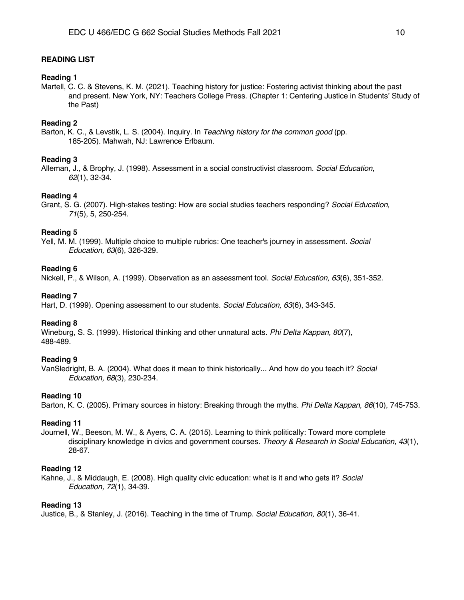# **READING LIST**

#### **Reading 1**

Martell, C. C. & Stevens, K. M. (2021). Teaching history for justice: Fostering activist thinking about the past and present. New York, NY: Teachers College Press. (Chapter 1: Centering Justice in Students' Study of the Past)

# **Reading 2**

Barton, K. C., & Levstik, L. S. (2004). Inquiry. In *Teaching history for the common good* (pp. 185-205). Mahwah, NJ: Lawrence Erlbaum.

#### **Reading 3**

Alleman, J., & Brophy, J. (1998). Assessment in a social constructivist classroom. *Social Education, 62*(1), 32-34.

### **Reading 4**

Grant, S. G. (2007). High-stakes testing: How are social studies teachers responding? *Social Education, 71*(5), 5, 250-254.

### **Reading 5**

Yell, M. M. (1999). Multiple choice to multiple rubrics: One teacher's journey in assessment. *Social Education, 63*(6), 326-329.

#### **Reading 6**

Nickell, P., & Wilson, A. (1999). Observation as an assessment tool. *Social Education, 63*(6), 351-352.

# **Reading 7**

Hart, D. (1999). Opening assessment to our students. *Social Education, 63*(6), 343-345.

#### **Reading 8**

Wineburg, S. S. (1999). Historical thinking and other unnatural acts. *Phi Delta Kappan, 80*(7), 488-489.

#### **Reading 9**

VanSledright, B. A. (2004). What does it mean to think historically... And how do you teach it? *Social Education, 68*(3), 230-234.

### **Reading 10**

Barton, K. C. (2005). Primary sources in history: Breaking through the myths. *Phi Delta Kappan, 86*(10), 745-753.

#### **Reading 11**

Journell, W., Beeson, M. W., & Ayers, C. A. (2015). Learning to think politically: Toward more complete disciplinary knowledge in civics and government courses. *Theory & Research in Social Education, 43*(1), 28-67.

# **Reading 12**

Kahne, J., & Middaugh, E. (2008). High quality civic education: what is it and who gets it? *Social Education, 72*(1), 34-39.

#### **Reading 13**

Justice, B., & Stanley, J. (2016). Teaching in the time of Trump. *Social Education, 80*(1), 36-41.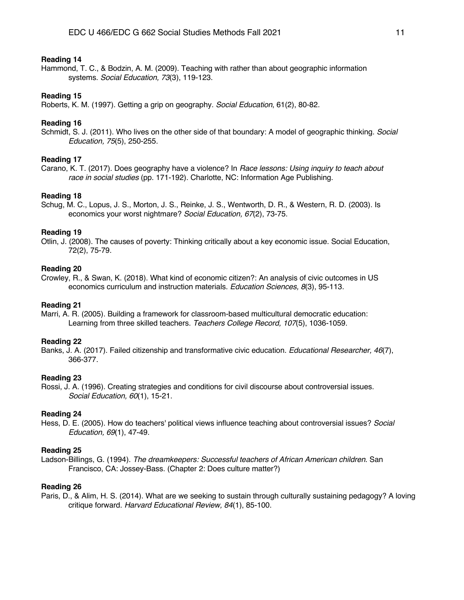# **Reading 14**

Hammond, T. C., & Bodzin, A. M. (2009). Teaching with rather than about geographic information systems. *Social Education, 73*(3), 119-123.

### **Reading 15**

Roberts, K. M. (1997). Getting a grip on geography. *Social Education*, 61(2), 80-82.

# **Reading 16**

Schmidt, S. J. (2011). Who lives on the other side of that boundary: A model of geographic thinking. *Social Education, 75*(5), 250-255.

#### **Reading 17**

Carano, K. T. (2017). Does geography have a violence? In *Race lessons: Using inquiry to teach about race in social studies* (pp. 171-192). Charlotte, NC: Information Age Publishing.

# **Reading 18**

Schug, M. C., Lopus, J. S., Morton, J. S., Reinke, J. S., Wentworth, D. R., & Western, R. D. (2003). Is economics your worst nightmare? *Social Education, 67*(2), 73-75.

# **Reading 19**

Otlin, J. (2008). The causes of poverty: Thinking critically about a key economic issue. Social Education, 72(2), 75-79.

#### **Reading 20**

Crowley, R., & Swan, K. (2018). What kind of economic citizen?: An analysis of civic outcomes in US economics curriculum and instruction materials. *Education Sciences, 8*(3), 95-113.

#### **Reading 21**

Marri, A. R. (2005). Building a framework for classroom-based multicultural democratic education: Learning from three skilled teachers. *Teachers College Record, 107*(5), 1036-1059.

## **Reading 22**

Banks, J. A. (2017). Failed citizenship and transformative civic education. *Educational Researcher, 46*(7), 366-377.

# **Reading 23**

Rossi, J. A. (1996). Creating strategies and conditions for civil discourse about controversial issues. *Social Education, 60*(1), 15-21.

#### **Reading 24**

Hess, D. E. (2005). How do teachers' political views influence teaching about controversial issues? *Social Education, 69*(1), 47-49.

# **Reading 25**

Ladson-Billings, G. (1994). *The dreamkeepers: Successful teachers of African American children*. San Francisco, CA: Jossey-Bass. (Chapter 2: Does culture matter?)

# **Reading 26**

Paris, D., & Alim, H. S. (2014). What are we seeking to sustain through culturally sustaining pedagogy? A loving critique forward. *Harvard Educational Review, 84*(1), 85-100.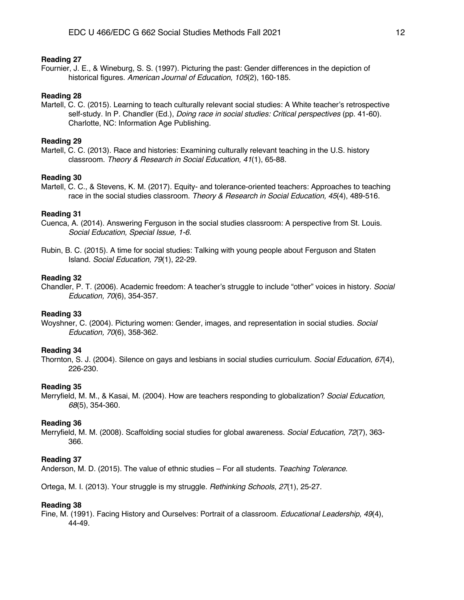# **Reading 27**

Fournier, J. E., & Wineburg, S. S. (1997). Picturing the past: Gender differences in the depiction of historical figures. *American Journal of Education, 105*(2), 160-185.

## **Reading 28**

Martell, C. C. (2015). Learning to teach culturally relevant social studies: A White teacher's retrospective self-study. In P. Chandler (Ed.), *Doing race in social studies: Critical perspectives* (pp. 41-60). Charlotte, NC: Information Age Publishing.

# **Reading 29**

Martell, C. C. (2013). Race and histories: Examining culturally relevant teaching in the U.S. history classroom. *Theory & Research in Social Education, 41*(1), 65-88.

### **Reading 30**

Martell, C. C., & Stevens, K. M. (2017). Equity- and tolerance-oriented teachers: Approaches to teaching race in the social studies classroom. *Theory & Research in Social Education, 45*(4), 489-516.

#### **Reading 31**

- Cuenca, A. (2014). Answering Ferguson in the social studies classroom: A perspective from St. Louis. *Social Education, Special Issue, 1-6.*
- Rubin, B. C. (2015). A time for social studies: Talking with young people about Ferguson and Staten Island. *Social Education, 79*(1), 22-29.

#### **Reading 32**

Chandler, P. T. (2006). Academic freedom: A teacher's struggle to include "other" voices in history. *Social Education, 70*(6), 354-357.

## **Reading 33**

Woyshner, C. (2004). Picturing women: Gender, images, and representation in social studies. *Social Education, 70*(6), 358-362.

## **Reading 34**

Thornton, S. J. (2004). Silence on gays and lesbians in social studies curriculum. *Social Education, 67*(4), 226-230.

# **Reading 35**

Merryfield, M. M., & Kasai, M. (2004). How are teachers responding to globalization? *Social Education, 68*(5), 354-360.

#### **Reading 36**

Merryfield, M. M. (2008). Scaffolding social studies for global awareness. *Social Education, 72*(7), 363- 366.

#### **Reading 37**

Anderson, M. D. (2015). The value of ethnic studies – For all students. *Teaching Tolerance*.

Ortega, M. I. (2013). Your struggle is my struggle. *Rethinking Schools*, *27*(1), 25-27.

#### **Reading 38**

Fine, M. (1991). Facing History and Ourselves: Portrait of a classroom. *Educational Leadership, 49*(4), 44-49.